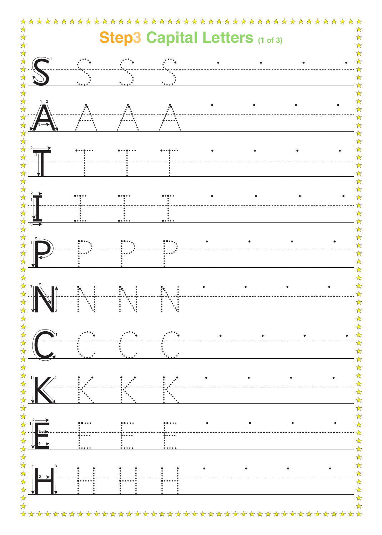| ☆<br>X<br><b>Step3 Capital Letters (1 of 3)</b><br>$\frac{1}{2}$<br>☆                               |  |  |  |  |  |  |                                                                     |  |  |  |
|-----------------------------------------------------------------------------------------------------|--|--|--|--|--|--|---------------------------------------------------------------------|--|--|--|
| ☆<br>25 25                                                                                          |  |  |  |  |  |  | $\frac{1}{\sqrt{2}}$<br>$\frac{\lambda}{\lambda}$                   |  |  |  |
| $\frac{1}{2}$                                                                                       |  |  |  |  |  |  | $\frac{1}{\mathcal{N}}$                                             |  |  |  |
| $1 \quad 2$<br>X                                                                                    |  |  |  |  |  |  | $\frac{1}{\sqrt{2}}$<br>$\frac{1}{\sqrt{2}}$                        |  |  |  |
|                                                                                                     |  |  |  |  |  |  | $\frac{1}{2}$<br>$\frac{1}{\mathcal{N}}$<br>$\frac{1}{\mathcal{N}}$ |  |  |  |
|                                                                                                     |  |  |  |  |  |  | $\star$<br>$\frac{1}{\sqrt{2}}$                                     |  |  |  |
|                                                                                                     |  |  |  |  |  |  | $\frac{1}{\mathcal{N}}$<br>$\lambda$<br>$\frac{1}{\sqrt{2}}$        |  |  |  |
|                                                                                                     |  |  |  |  |  |  | ☆<br>☆                                                              |  |  |  |
| Ħ                                                                                                   |  |  |  |  |  |  | $\frac{1}{\sqrt{2}}$<br>$\frac{1}{\mathcal{N}}$                     |  |  |  |
| ☆                                                                                                   |  |  |  |  |  |  | ☆                                                                   |  |  |  |
| $\overline{3}$                                                                                      |  |  |  |  |  |  | $\frac{1}{\mathcal{N}}$<br>$\frac{1}{\sqrt{2}}$                     |  |  |  |
|                                                                                                     |  |  |  |  |  |  | $\frac{1}{\mathcal{N}}$<br>$\frac{1}{\mathcal{N}}$                  |  |  |  |
|                                                                                                     |  |  |  |  |  |  | $\frac{1}{\sqrt{2}}$<br>☆<br>☆                                      |  |  |  |
| $\frac{\lambda}{\lambda}$<br>N                                                                      |  |  |  |  |  |  | ☆                                                                   |  |  |  |
| $\frac{1}{\mathcal{N}}$<br>$\frac{1}{2}$                                                            |  |  |  |  |  |  | $\frac{1}{\sqrt{2}}$<br>$\frac{1}{\mathcal{N}}$                     |  |  |  |
| 计计算设计                                                                                               |  |  |  |  |  |  | $\frac{1}{\sqrt{2}}$<br>$\frac{1}{\lambda}$<br>$\frac{1}{\lambda}$  |  |  |  |
|                                                                                                     |  |  |  |  |  |  | $\frac{1}{\mathcal{N}}$<br>$\frac{1}{\sqrt{2}}$                     |  |  |  |
| $\frac{1}{2}$                                                                                       |  |  |  |  |  |  | $\frac{1}{\mathcal{N}}$<br>$\frac{1}{\lambda}$                      |  |  |  |
| 각 각 각                                                                                               |  |  |  |  |  |  | $\frac{1}{\sqrt{2}}$<br>$\frac{1}{\mathcal{N}}$<br>$\frac{1}{2}$    |  |  |  |
| ******                                                                                              |  |  |  |  |  |  | $\frac{1}{2}$<br>$\frac{1}{\mathbf{k}}$                             |  |  |  |
| $\overline{2}$                                                                                      |  |  |  |  |  |  | $\frac{1}{\mathcal{N}}$<br>$\frac{\lambda}{\lambda}$                |  |  |  |
| $\frac{1}{\mathcal{N}}$<br>3.—≽<br>$\frac{1}{\mathcal{N}}$<br>$\rightarrow$<br>$\frac{1}{\sqrt{2}}$ |  |  |  |  |  |  | $\star$<br>$\frac{1}{\mathcal{N}}$<br>$\star$                       |  |  |  |
| $\frac{1}{\sqrt{2}}$<br>$\frac{1}{\sqrt{2}}$                                                        |  |  |  |  |  |  | ☆<br>$\frac{1}{\sqrt{2}}$                                           |  |  |  |
| $\frac{1}{\sqrt{2}}$<br>$\frac{1}{\sqrt{2}}$                                                        |  |  |  |  |  |  | $\frac{1}{\mathcal{N}}$<br>$\frac{1}{\sqrt{2}}$                     |  |  |  |
| $\frac{1}{\mathcal{N}}$<br>$\frac{1}{\sqrt{2}}$<br>$\frac{1}{\sqrt{2}}$                             |  |  |  |  |  |  | $\frac{\lambda}{\lambda}$<br>$\frac{1}{\mathcal{N}}$                |  |  |  |
|                                                                                                     |  |  |  |  |  |  | $\frac{1}{\sqrt{2}}$                                                |  |  |  |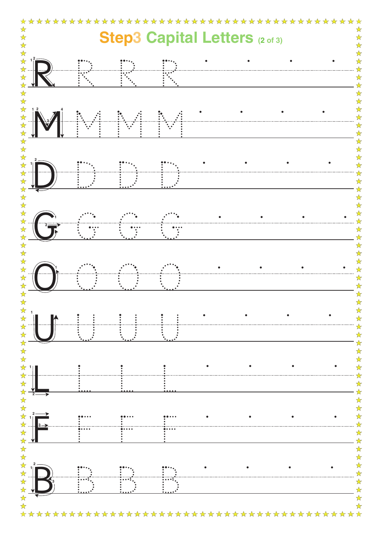| <b>Step3 Capital Letters (2 of 3)</b> |  |  |  |  |  |  |  |  |  |  |
|---------------------------------------|--|--|--|--|--|--|--|--|--|--|
|                                       |  |  |  |  |  |  |  |  |  |  |
|                                       |  |  |  |  |  |  |  |  |  |  |
|                                       |  |  |  |  |  |  |  |  |  |  |
|                                       |  |  |  |  |  |  |  |  |  |  |
|                                       |  |  |  |  |  |  |  |  |  |  |
| $\overline{1}$                        |  |  |  |  |  |  |  |  |  |  |
| $\mathbf{1}$<br>$\overline{2}$<br>⋗   |  |  |  |  |  |  |  |  |  |  |
| 2                                     |  |  |  |  |  |  |  |  |  |  |
| 2                                     |  |  |  |  |  |  |  |  |  |  |